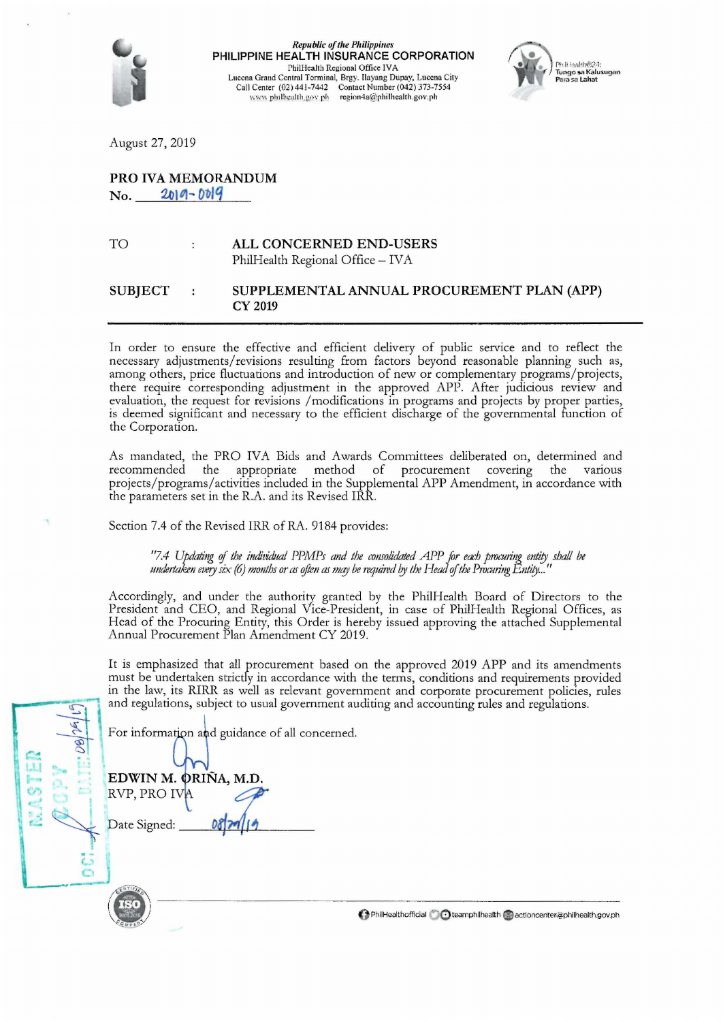

 $$ PHILIPPINE HEALTH INSURANCE CORPORATION PhilHealth Regional Office IVA Luccna Grand Central Terminal, Brgy. llayang Dupay, Luccna City Call Cenrer (02) 441-7442 Contact Number (042) 373-7554 www.philhealth.gov.ph region4a@philhealth.gov.ph



August 27, 2019

## PRO IVA MEMORANDUM

 $No. 2019 - 0019$ 

TO ALL CONCERNED END-USERS PhilHealth Regional Office - IVA

## SUBJECT SUPPLEMENTAL ANNUAL PROCUREMENT PLAN (APP) CY 2019

In order to ensure the effective and efficient delivery of public service and to reflect the necessary adjustments/ revisions resulting from factors beyond reasonable planning such as, among others, price fluctuations and introduction of new or complementary programs/projects, there require corresponding adjustment in the approved APP. After judicious review and evaluation, the request for revisions /modifications in programs and projects by proper parties, is deemed significant and necessary to the efficient discharge of the governmental function of the Corporation.

As mandated, the PRO IVA Bids and Awards Committees deliberated on, determined and recommended the appropriate method of procurement covering the various appropriate method of procurement covering the various projects/programs/activities included in the Supplemental APP Amendment, in accordance with the parameters set in the R.A. and its Revised IRR.

Section 7.4 of the Revised IRR of RA. 9184 provides:

"7.4 Updating of the individual PPMPs and the consolidated APP for each procuring entity shall be *undertaken every six (6) months or as often as may be required by the Head of the Procuring Entity...* 

Accordingly, and under the authority granted by the PhilHealth Board of Directors to the President and CEO, and Regional Vice-President, in case of PhilHealth Regional Offices, as Head of the Procuring Entity, this Order is hereby issued approving the attached Supplemental Annual Procurement Plan Amendment CY 2019.

It is emphasized that all procurement based on the approved 2019 APP and its amendments must be undertaken strictly in accordance with the terms, conditions and requirements provided in the law, its RIRR as well as relevant government and corporate procurement policies, rules and regulations, subject to usual government auditing and accounting rules and regulations.

For information and guidance of all concerned.

EDWIN M. ORIÑA, M.D  $KVP, PROIV$ 

----·-

÷

**PhilHealthofficial Colteamphilhealth Colectioncenter,@philhealth.gov.ph**